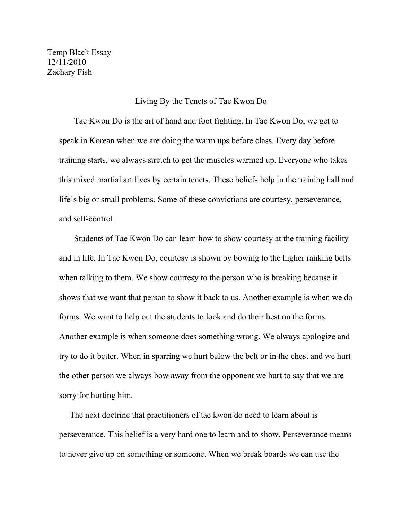Temp Black Essay 12/11/2010 Zachary Fish

## Living By the Tenets of Tae Kwon Do

 Tae Kwon Do is the art of hand and foot fighting. In Tae Kwon Do, we get to speak in Korean when we are doing the warm ups before class. Every day before training starts, we always stretch to get the muscles warmed up. Everyone who takes this mixed martial art lives by certain tenets. These beliefs help in the training hall and life's big or small problems. Some of these convictions are courtesy, perseverance, and self-control.

 Students of Tae Kwon Do can learn how to show courtesy at the training facility and in life. In Tae Kwon Do, courtesy is shown by bowing to the higher ranking belts when talking to them. We show courtesy to the person who is breaking because it shows that we want that person to show it back to us. Another example is when we do forms. We want to help out the students to look and do their best on the forms. Another example is when someone does something wrong. We always apologize and try to do it better. When in sparring we hurt below the belt or in the chest and we hurt the other person we always bow away from the opponent we hurt to say that we are sorry for hurting him.

 The next doctrine that practitioners of tae kwon do need to learn about is perseverance. This belief is a very hard one to learn and to show. Perseverance means to never give up on something or someone. When we break boards we can use the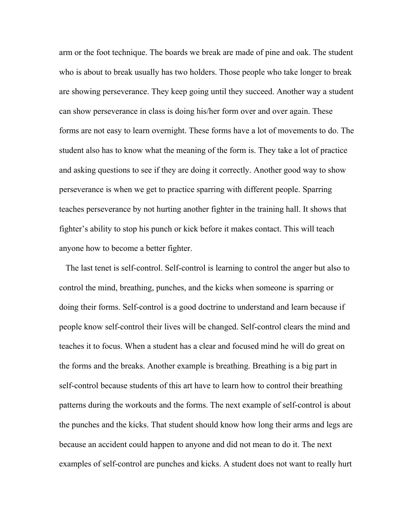arm or the foot technique. The boards we break are made of pine and oak. The student who is about to break usually has two holders. Those people who take longer to break are showing perseverance. They keep going until they succeed. Another way a student can show perseverance in class is doing his/her form over and over again. These forms are not easy to learn overnight. These forms have a lot of movements to do. The student also has to know what the meaning of the form is. They take a lot of practice and asking questions to see if they are doing it correctly. Another good way to show perseverance is when we get to practice sparring with different people. Sparring teaches perseverance by not hurting another fighter in the training hall. It shows that fighter's ability to stop his punch or kick before it makes contact. This will teach anyone how to become a better fighter.

 The last tenet is self-control. Self-control is learning to control the anger but also to control the mind, breathing, punches, and the kicks when someone is sparring or doing their forms. Self-control is a good doctrine to understand and learn because if people know self-control their lives will be changed. Self-control clears the mind and teaches it to focus. When a student has a clear and focused mind he will do great on the forms and the breaks. Another example is breathing. Breathing is a big part in self-control because students of this art have to learn how to control their breathing patterns during the workouts and the forms. The next example of self-control is about the punches and the kicks. That student should know how long their arms and legs are because an accident could happen to anyone and did not mean to do it. The next examples of self-control are punches and kicks. A student does not want to really hurt